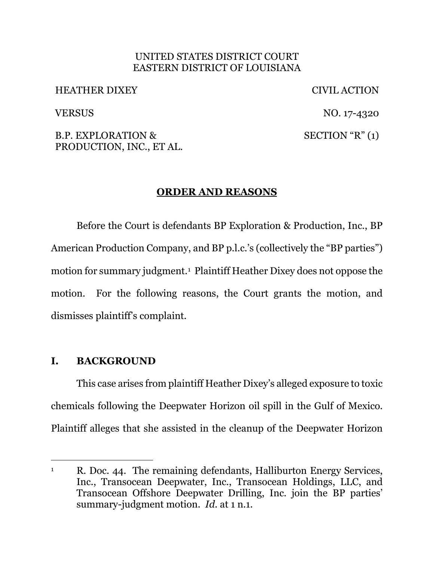### UNITED STATES DISTRICT COURT EASTERN DISTRICT OF LOUISIANA

HEATHER DIXEY CIVIL ACTION

VERSUS NO. 17-4320  $SECTION "R" (1)$ 

B.P. EXPLORATION & PRODUCTION, INC., ET AL.

# **ORDER AND REASONS**

Before the Court is defendants BP Exploration & Production, Inc., BP American Production Company, and BP p.l.c.'s (collectively the "BP parties") motion for summary judgment.1 Plaintiff Heather Dixey does not oppose the motion. For the following reasons, the Court grants the motion, and dismisses plaintiff's complaint.

## **I. BACKGROUND**

This case arises from plaintiff Heather Dixey's alleged exposure to toxic chemicals following the Deepwater Horizon oil spill in the Gulf of Mexico. Plaintiff alleges that she assisted in the cleanup of the Deepwater Horizon

<sup>&</sup>lt;sup>1</sup> R. Doc. 44. The remaining defendants, Halliburton Energy Services, Inc., Transocean Deepwater, Inc., Transocean Holdings, LLC, and Transocean Offshore Deepwater Drilling, Inc. join the BP parties' summary-judgment motion. *Id.* at 1 n.1.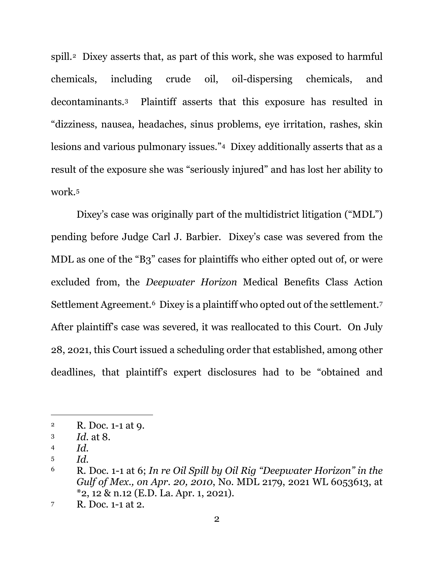spill.2 Dixey asserts that, as part of this work, she was exposed to harmful chemicals, including crude oil, oil-dispersing chemicals, and decontaminants.3 Plaintiff asserts that this exposure has resulted in "dizziness, nausea, headaches, sinus problems, eye irritation, rashes, skin lesions and various pulmonary issues."4 Dixey additionally asserts that as a result of the exposure she was "seriously injured" and has lost her ability to work.5

Dixey's case was originally part of the multidistrict litigation ("MDL") pending before Judge Carl J. Barbier. Dixey's case was severed from the MDL as one of the "B3" cases for plaintiffs who either opted out of, or were excluded from, the *Deepwater Horizon* Medical Benefits Class Action Settlement Agreement.<sup>6</sup> Dixey is a plaintiff who opted out of the settlement.<sup>7</sup> After plaintiff's case was severed, it was reallocated to this Court. On July 28, 2021, this Court issued a scheduling order that established, among other deadlines, that plaintiff's expert disclosures had to be "obtained and

<sup>2</sup> R. Doc. 1-1 at 9.

<sup>3</sup> *Id.* at 8.

<sup>4</sup> *Id.* 

<sup>5</sup> *Id.* 

<sup>6</sup> R. Doc. 1-1 at 6; *In re Oil Spill by Oil Rig "Deepwater Horizon" in the Gulf of Mex., on Apr. 20, 2010*, No. MDL 2179, 2021 WL 6053613, at \*2, 12 & n.12 (E.D. La. Apr. 1, 2021).

<sup>7</sup> R. Doc. 1-1 at 2.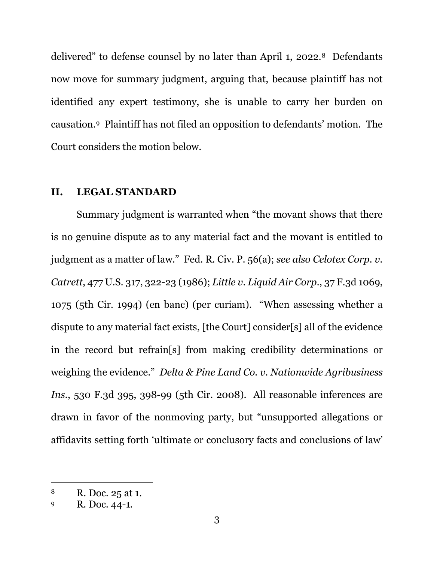delivered" to defense counsel by no later than April 1, 2022.8 Defendants now move for summary judgment, arguing that, because plaintiff has not identified any expert testimony, she is unable to carry her burden on causation.9 Plaintiff has not filed an opposition to defendants' motion. The Court considers the motion below.

#### **II. LEGAL STANDARD**

Summary judgment is warranted when "the movant shows that there is no genuine dispute as to any material fact and the movant is entitled to judgment as a matter of law." Fed. R. Civ. P. 56(a); *see also Celotex Corp. v. Catrett*, 477 U.S. 317, 322-23 (1986); *Little v. Liquid Air Corp.*, 37 F.3d 1069, 1075 (5th Cir. 1994) (en banc) (per curiam). "When assessing whether a dispute to any material fact exists, [the Court] consider[s] all of the evidence in the record but refrain[s] from making credibility determinations or weighing the evidence." *Delta & Pine Land Co. v. Nationwide Agribusiness Ins.*, 530 F.3d 395, 398-99 (5th Cir. 2008). All reasonable inferences are drawn in favor of the nonmoving party, but "unsupported allegations or affidavits setting forth 'ultimate or conclusory facts and conclusions of law'

<sup>8</sup> R. Doc. 25 at 1.

<sup>9</sup> R. Doc. 44-1.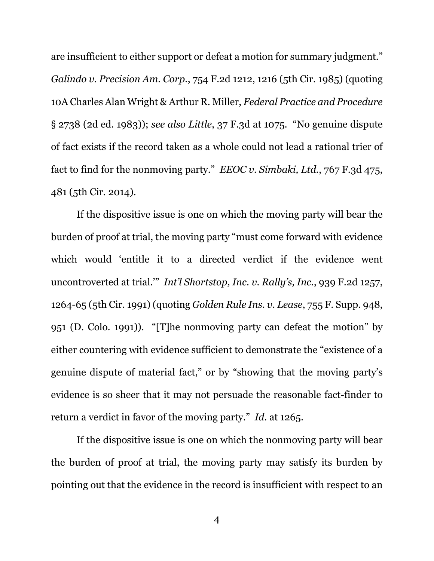are insufficient to either support or defeat a motion for summary judgment." *Galindo v. Precision Am. Corp.*, 754 F.2d 1212, 1216 (5th Cir. 1985) (quoting 10A Charles Alan Wright & Arthur R. Miller, *Federal Practice and Procedure* § 2738 (2d ed. 1983)); *see also Little*, 37 F.3d at 1075. "No genuine dispute of fact exists if the record taken as a whole could not lead a rational trier of fact to find for the nonmoving party." *EEOC v. Simbaki, Ltd.*, 767 F.3d 475, 481 (5th Cir. 2014).

If the dispositive issue is one on which the moving party will bear the burden of proof at trial, the moving party "must come forward with evidence which would 'entitle it to a directed verdict if the evidence went uncontroverted at trial.'" *Int'l Shortstop, Inc. v. Rally's, Inc.*, 939 F.2d 1257, 1264-65 (5th Cir. 1991) (quoting *Golden Rule Ins. v. Lease*, 755 F. Supp. 948, 951 (D. Colo. 1991)). "[T]he nonmoving party can defeat the motion" by either countering with evidence sufficient to demonstrate the "existence of a genuine dispute of material fact," or by "showing that the moving party's evidence is so sheer that it may not persuade the reasonable fact-finder to return a verdict in favor of the moving party." *Id.* at 1265.

If the dispositive issue is one on which the nonmoving party will bear the burden of proof at trial, the moving party may satisfy its burden by pointing out that the evidence in the record is insufficient with respect to an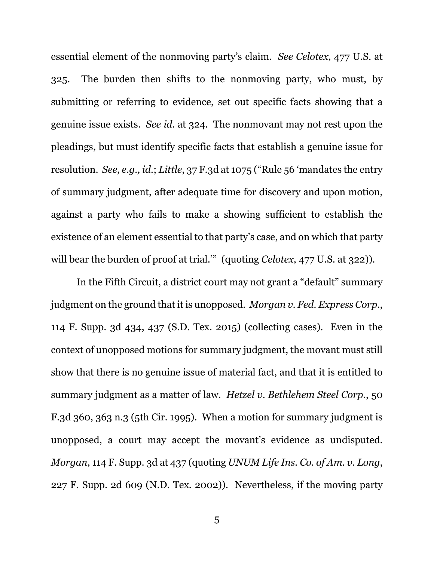essential element of the nonmoving party's claim. *See Celotex*, 477 U.S. at 325. The burden then shifts to the nonmoving party, who must, by submitting or referring to evidence, set out specific facts showing that a genuine issue exists. *See id.* at 324. The nonmovant may not rest upon the pleadings, but must identify specific facts that establish a genuine issue for resolution. *See, e.g., id.*; *Little*, 37 F.3d at 1075 ("Rule 56 'mandates the entry of summary judgment, after adequate time for discovery and upon motion, against a party who fails to make a showing sufficient to establish the existence of an element essential to that party's case, and on which that party will bear the burden of proof at trial."" (quoting *Celotex*, 477 U.S. at 322)).

In the Fifth Circuit, a district court may not grant a "default" summary judgment on the ground that it is unopposed. *Morgan v. Fed. Express Corp.*, 114 F. Supp. 3d 434, 437 (S.D. Tex. 2015) (collecting cases). Even in the context of unopposed motions for summary judgment, the movant must still show that there is no genuine issue of material fact, and that it is entitled to summary judgment as a matter of law. *Hetzel v. Bethlehem Steel Corp.*, 50 F.3d 360, 363 n.3 (5th Cir. 1995). When a motion for summary judgment is unopposed, a court may accept the movant's evidence as undisputed. *Morgan*, 114 F. Supp. 3d at 437 (quoting *UNUM Life Ins. Co. of Am. v. Long*, 227 F. Supp. 2d 609 (N.D. Tex. 2002)). Nevertheless, if the moving party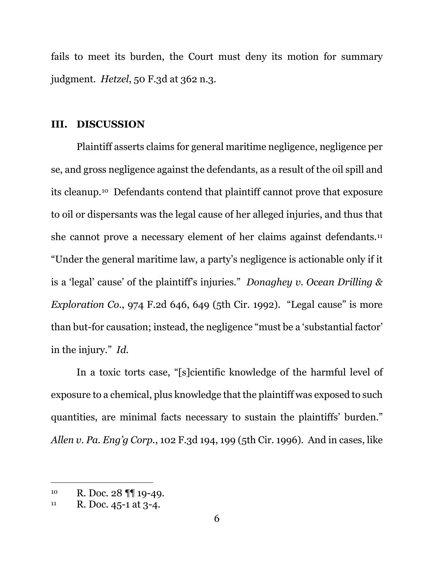fails to meet its burden, the Court must deny its motion for summary judgment. *Hetzel*, 50 F.3d at 362 n.3.

#### **III. DISCUSSION**

Plaintiff asserts claims for general maritime negligence, negligence per se, and gross negligence against the defendants, as a result of the oil spill and its cleanup.10 Defendants contend that plaintiff cannot prove that exposure to oil or dispersants was the legal cause of her alleged injuries, and thus that she cannot prove a necessary element of her claims against defendants.11 "Under the general maritime law, a party's negligence is actionable only if it is a 'legal' cause' of the plaintiff's injuries." *Donaghey v. Ocean Drilling & Exploration Co.*, 974 F.2d 646, 649 (5th Cir. 1992). "Legal cause" is more than but-for causation; instead, the negligence "must be a 'substantial factor' in the injury." *Id.* 

In a toxic torts case, "[s]cientific knowledge of the harmful level of exposure to a chemical, plus knowledge that the plaintiff was exposed to such quantities, are minimal facts necessary to sustain the plaintiffs' burden." *Allen v. Pa. Eng'g Corp.*, 102 F.3d 194, 199 (5th Cir. 1996). And in cases, like

<sup>10</sup> R. Doc. 28 ¶¶ 19-49.

 $11$  R. Doc. 45-1 at 3-4.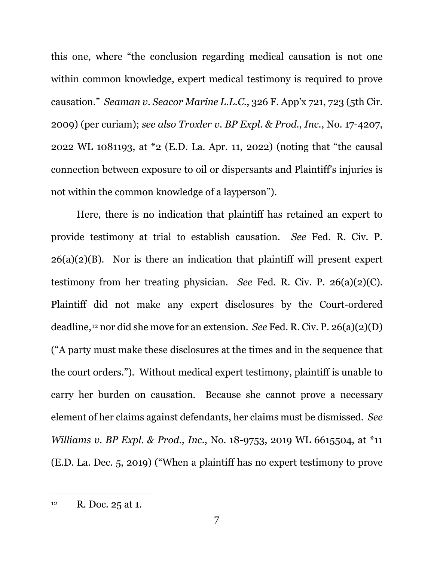this one, where "the conclusion regarding medical causation is not one within common knowledge, expert medical testimony is required to prove causation." *Seaman v. Seacor Marine L.L.C.*, 326 F. App'x 721, 723 (5th Cir. 2009) (per curiam); *see also Troxler v. BP Expl. & Prod., Inc.*, No. 17-4207, 2022 WL 1081193, at \*2 (E.D. La. Apr. 11, 2022) (noting that "the causal connection between exposure to oil or dispersants and Plaintiff's injuries is not within the common knowledge of a layperson").

Here, there is no indication that plaintiff has retained an expert to provide testimony at trial to establish causation. *See* Fed. R. Civ. P. 26(a)(2)(B).Nor is there an indication that plaintiff will present expert testimony from her treating physician. *See* Fed. R. Civ. P. 26(a)(2)(C). Plaintiff did not make any expert disclosures by the Court-ordered deadline,12 nor did she move for an extension. *See* Fed. R. Civ. P. 26(a)(2)(D) ("A party must make these disclosures at the times and in the sequence that the court orders."). Without medical expert testimony, plaintiff is unable to carry her burden on causation. Because she cannot prove a necessary element of her claims against defendants, her claims must be dismissed. *See Williams v. BP Expl. & Prod., Inc.*, No. 18-9753, 2019 WL 6615504, at \*11 (E.D. La. Dec. 5, 2019) ("When a plaintiff has no expert testimony to prove

<sup>&</sup>lt;sup>12</sup> R. Doc. 25 at 1.